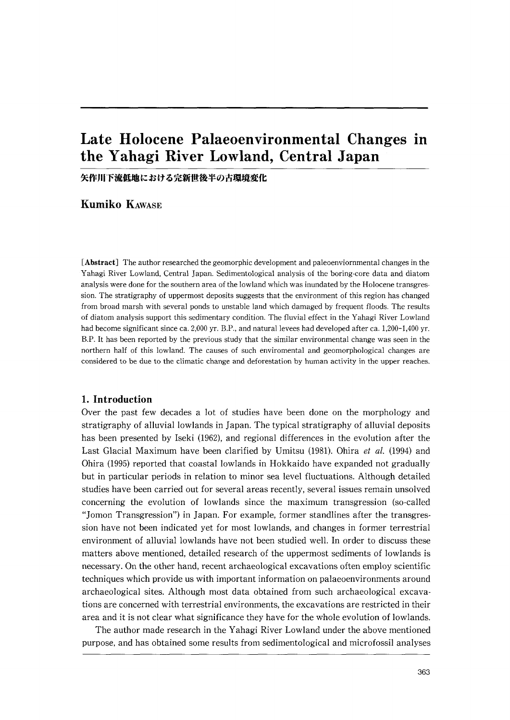# Late Holocene Palaeoenvironmental Changes in the Yahagi River Lowland, Central Japan

矢作川下流低地における完新世後半の古環境変化

Kumiko KAWASE

[Abstract] The author researched the geomorphic development and paleoenviornmental changes in the Yahagi River Lowland, Central Japan. Sedimentological analysis of the boring-core data and diatom analysis were done for the southern area of the lowland which was inundated by the Holocene transgres sion. The stratigraphy of uppermost deposits suggests that the environment of this region has changed from broad marsh with several ponds to unstable land which damaged by frequent floods. The results of diatom analysis support this sedimentary condition. The fluvial effect in the Yahagi River Lowland had become significant since ca. 2,000 yr. B.P., and natural levees had developed after ca. 1,200-1,400 yr. B.P. It has been reported by the previous study that the similar environmental change was seen in the northern half of this lowland. The causes of such enviromental and geomorphological changes are considered to be due to the climatic change and deforestation by human activity in the upper reaches.

#### 1.Introduction

Over the past few decades a lot of studies have been done on the morphology and stratigraphy of alluvial lowlands in Japan. The typical stratigraphy of alluvial deposits has been presented by Iseki (1962), and regional differences in the evolution after the Last Glacial Maximum have been clarified by Umitsu (1981). Ohira et al. (1994) and Ohira (1995) reported that coastal lowlands in Hokkaido have expanded not gradually but in particular periods in relation to minor sea level fluctuations. Although detailed studies have been carried out for several areas recently, several issues remain unsolved concerning the evolution of lowlands since the maximum transgression (so-called "Jomon Transgression") in Japan. For example, former standlines after the transgre sion have not been indicated yet for most lowlands, and changes in former terrestrial environment of alluvial lowlands have not been studied wel1. In order to discuss these matters above mentioned, detailed research of the uppermost sediments of lowlands is necessary. On the other hand, recent archaeological excavations often employ scientific techniques which provide us with important information on palaeoenvironments around archaeological sites. Although most data obtained from such archaeological excava tions are concerned with terrestrial environments, the excavations are restricted in their area and it is not clear what significance they have for the whole evolution of lowlands.

 The author made research in the Yahagi River Lowland under the above mentioned purpose, and has obtained some results from sedimentological and microfossil analyses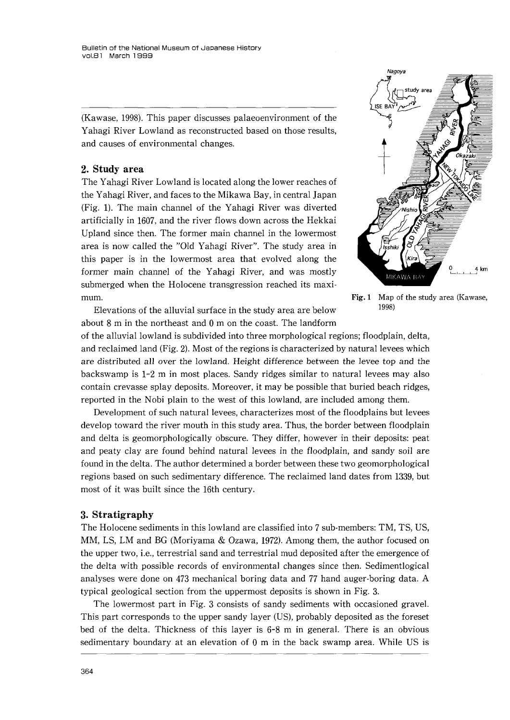(Kawase,1998). This paper discusses palaeoenvironment of the Yahagi River Lowland as reconstructed based on those results, and causes of environmental changes.

#### 2.Study area

The Yahagi River Lowland is located along the lower reaches of the Yahagi River, and faces to the Mikawa Bay, in central Japan (Fig.1). The main channel of the Yahagi River was diverted artificially in 1607, and the river flows down across the Hekkai Upland since then. The former main channel in the lowermost area is now called the "Old Yahagi River". The study area in this paper is in the lowermost area that evolved along the former main channel of the Yahagi River, and was mostly submerged when the Holocene transgression reached its maxi mum.<br>
Fig. 1 Map of the study area (Kawase,<br>
Fig. 1 Map of the study area (Kawase,<br>  $\frac{1998}{2}$ 

Elevations of the alluvial surface in the study area are below about 8 m in the northeast and O m on the coast. The landform



of the alluvial lowland is subdivided into three morphological regions;floodplain, delta, and reclaimed land(Fig.2). Most of the regions is characterized by natural levees which are distributed all over the lowland. Height difference between the levee top and the backswamp is 1-2 m in most places. Sandy ridges similar to natural levees may also contain crevasse splay deposits. Moreover, it may be possible that buried beach ridges, reported in the Nobi plain to the west of this lowland, are included among them.

 Development of such natural levees, characterizes most of the floodplains but levees develop toward the river mouth in this study area. Thus, the border between floodplain and delta is geomorphologically obscure. They differ, however in their deposits: peat and peaty clay are found behind natural levees in the floodplain, and sandy soil are found in the delta. The author determined a border between these two geomorphological regions based on such sedimentary difference. The reclaimed land dates from 1339, but most of it was built since the 16th century.

#### 3.Stratigraphy

The Holocene sediments in this lowland are classified into 7 sub-members: TM, TS, US, MM, LS, LM and BG (Moriyama & Ozawa, 1972). Among them, the author focused on the upper two, i.e., terrestrial sand and terrestrial mud deposited after the emergence of the delta with possible records of environmental changes since then. Sedimentlogical analyses were done on 473 mechanical boring data and 77 hand auger・boring data. A typical geological section from the uppermost deposits is shown in Fig.3.

The lowermost part in Fig. 3 consists of sandy sediments with occasioned gravel. This part corresponds to the upper sandy layer(US), probably deposited as the foreset bed of the delta. Thickness of this layer is 6-8 m in general. There is an obvious sedimentary boundary at an elevation of O m in the back swamp area. While US is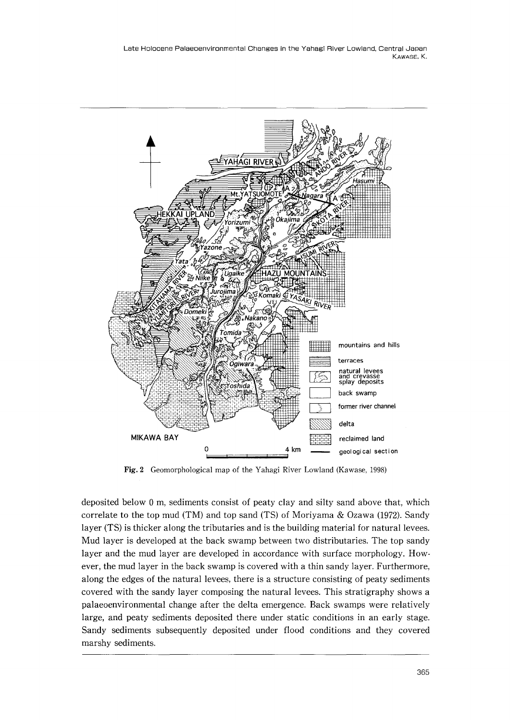

Fig.2 Geomorphological map of the Yahagi River Lowland(Kawase,1998)

deposited below O m, sediments consist of peaty clay and silty sand above that, which correlate to the top mud (TM) and top sand (TS) of Moriyama  $& Ozawa$  (1972). Sandy layer (TS) is thicker along the tributaries and is the building material for natural levees. Mud layer is developed at the back swamp between two distributaries. The top sandy layer and the mud layer are developed in accordance with surface morphology. How ever, the mud layer in the back swamp is covered with a thin sandy layer. Furthermore, along the edges of the natural levees, there is a structure consisting of peaty sediments covered with the sandy layer composing the natural levees. This stratigraphy shows a palaeoenvironmental change after the delta emergence. Back swamps were relatively large, and peaty sediments deposited there under static conditions in an early stage. Sandy sediments subsequently deposited under flood conditions and they covered marshy sediments.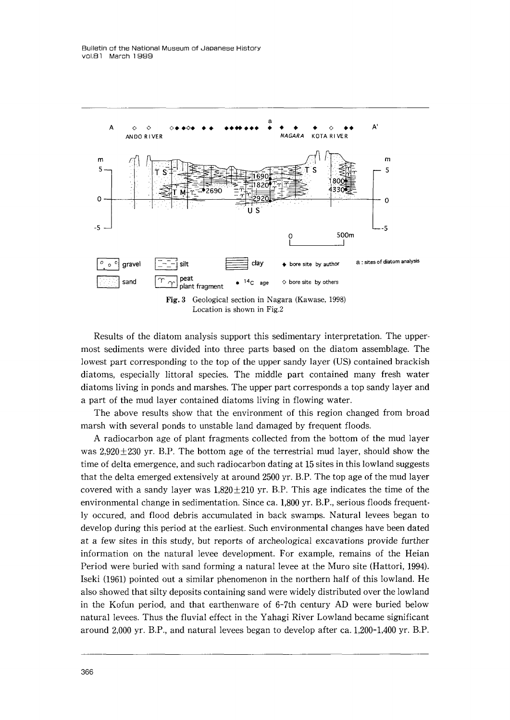

 Results of the diatom analysis support this sedimentary interpretation. The upper most sediments were divided into three parts based on the diatom assemblage. The lowest part corresponding to the top of the upper sandy layer (US) contained brackish diatoms, especially littoral species. The middle part contained many fresh water diatoms living in ponds and marshes. The upper part corresponds a top sandy layer and apart of the mud layer contained diatoms living in flowing water.

 The above results show that the environment of this region changed from broad marsh with several ponds to unstable land damaged by frequent floods.

 Aradiocarbon age of plant fragments collected from the bottom of the mud layer was  $2,920\pm230$  yr. B.P. The bottom age of the terrestrial mud layer, should show the time of delta emergence, and such radiocarbon dating at 15 sites in this lowland suggests that the delta emerged extensively at around 2500 yr. B.P. The top age of the mud layer covered with a sandy layer was  $1,820 \pm 210$  yr. B.P. This age indicates the time of the environmental change in sedimentation. Since ca.1,800 yr. B.P., serious floods frequent・ ly occured, and flood debris accumulated in back swamps. Natural levees began to develop during this period at the earliest. Such environmental changes have been dated at a few sites in this study, but reports of archeological excavations provide further information on the natural levee development. For example, remains of the Heian Period were buried with sand forming a natural Ievee at the Muro site(Hattori,1994). Iseki (1961) pointed out a similar phenomenon in the northern half of this lowland. He also showed that silty deposits containing sand were widely distributed over the lowland in the Kofun period, and that earthenware of 6-7th century AD were buried below natural levees. Thus the fluvial effect in the Yahagi River Lowland became significant around 2,000 yr. B.P., and natural levees began to develop after ca.1,200-1,400 yr. B.P.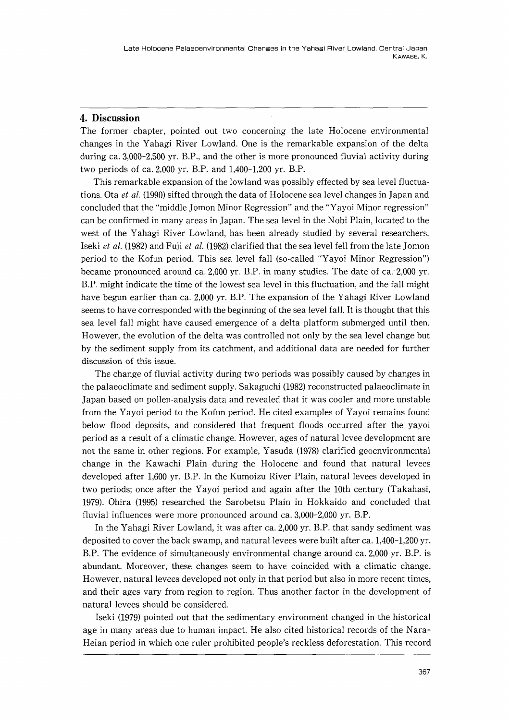### 4.Discussion

The former chapter, pointed out two concerning the late Holocene environmental changes in the Yahagi River Lowland. One is the remarkable expansion of the delta during ca.3,000-2,500 yr. B.P., and the other is more pronounced fluvial activity during two periods of ca.2,000 yr. B.P. and 1,400-1,200 yr. B.P.

 This remarkable expansion of the lowland was possibly effected by sea level fluctua tions. Ota et al. (1990) sifted through the data of Holocene sea level changes in Japan and concluded that the"middle Jomon Minor Regression"and the"Yayoi Minor regression" can be confirmed in many areas in Japan. The sea level in the Nobi Plain, located to the west of the Yahagi River Lowland, has been already studied by several researchers. Iseki et al. (1982) and Fuji et al. (1982) clarified that the sea level fell from the late Jomon period to the Kofun period. This sea level fall (so-called "Yayoi Minor Regression") became pronounced around ca.  $2,000$  yr. B.P. in many studies. The date of ca.  $2,000$  yr. B.P. might indicate the time of the lowest sea level in this fluctuation, and the fall might have begun earlier than ca.2,000 yr. B.P. The expansion of the Yahagi River Lowland seems to have corresponded with the beginning of the sea level fall. It is thought that this sea level fall might have caused emergence of a delta platform submerged until then. However, the evolution of the delta was controlled not only by the sea level change but by the sediment supply from its catchment, and additional data are needed for further discussion of this issue.

 The change of fluvial activity during two periods was possibly caused by changes in the palaeoclimate and sediment supply. Sakaguchi (1982) reconstructed palaeoclimate in Japan based on pollen-analysis data and revealed that it was cooler and more unstable from the Yayoi period to the Kofun period. He cited examples of Yayoi remains found below flood deposits, and considered that frequent floods occurred after the yayoi period as a result of a climatic change. However, ages of natural levee development are not the same in other regions. For example, Yasuda (1978) clarified geoenvironmental change in the Kawachi Plain during the Holocene and found that natural levees developed after 1,600 yr. B.P. In the Kumoizu River Plain, natural levees developed in two periods;once after the Yayoi period and again after the 10th century(Takahasi, 1979). Ohira (1995) researched the Sarobetsu Plain in Hokkaido and concluded that fluvial influences were more pronounced around ca.3,000-2,000 yr. B.P.

 In the Yahagi River Lowland, it was after ca.2,000 yr. B.P. that sandy sediment was deposited to cover the back swamp, and natural levees were built after ca.1,400-1,200 yr. B.P. The evidence of simultaneously environmental change around ca.2,000 yr. B.P. is abundant. Moreover, these changes seem to have coincided with a climatic change. However, natural levees developed not only in that period but also in more recent times, and their ages vary from region to region. Thus another factor in the development of natural levees should be considered.

Iseki (1979) pointed out that the sedimentary environment changed in the historical age in many areas due to human impact. He also cited historical records of the Nara- Heian period in which one ruler prohibited people's reckless deforestation. This record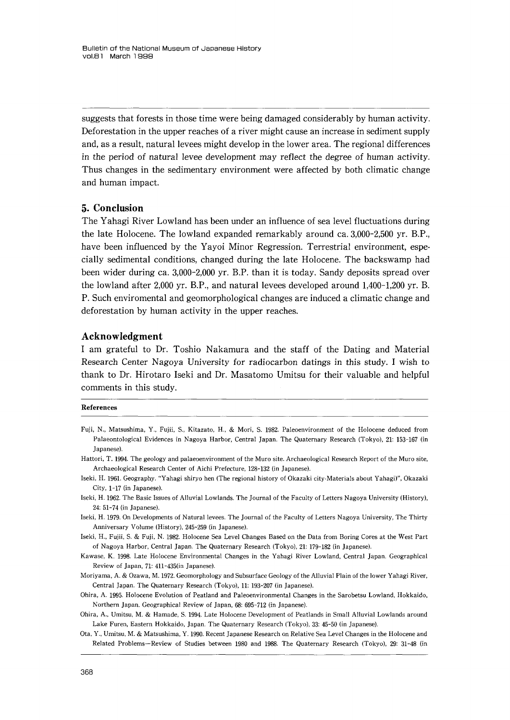suggests that forests in those time were being damaged considerably by human activity. Deforestation in the upper reaches of a river might cause an increase in sediment supply and, as a result, natural levees might develop in the lower area. The regional differences in the period of natural levee development may reflect the degree of human activity. Thus changes in the sedimentary environment were affected by both climatic change and human impact.

#### 5.Conclusion

The Yahagi River Lowland has been under an influence of sea level fluctuations during the late Holocene. The lowland expanded remarkably around ca.3,000-2,500 yr. B.P., have been influenced by the Yayoi Minor Regression. Terrestrial environment, especially sedimental conditions, changed during the late Holocene. The backswamp had been wider during ca.3,000-2,000 yr. B.P, than it is today. Sandy deposits spread over the lowland after 2,000 yr. B.P., and natural levees developed around 1,400-1,200 yr. B. P.Such enviromental and geomorphological changes are induced a climatic change and deforestation by human activity in the upper reaches.

### Acknowledgment

Iam grateful to Dr. Toshio Nakamura and the staff of the Dating and Material Research Center Nagoya University for radiocarbon datings in this study. I wish to thank to Dr. Hirotaro Iseki and Dr. Masatomo Umitsu for their valuable and helpful comments in this study.

#### References

- Fuji, N., Matsushima, Y., Fujii, S., Kitazato, H.,&Mori, S.1982, Paleoenvironment of the Holocene deduced from Palaeontological Evidences in Nagoya Harbor, Central Japan. The Quaternary Research (Tokyo), 21: 153-167 (in Japanese),
- Hattori, T.1994, The geology and palaeoenvironment of the Muro site. Archaeological Research Report of the Muro site, Archaeological Research Center of Aichi Prefecture,128-132(in Japanese).
- Iseki, H. 1961. Geography. "Yahagi shiryo hen (The regional history of Okazaki city-Materials about Yahagi)", Okazaki City, 1-17 (in Japanese).
- Iseki, H.1962. The Basic Issues of Alluvial Lowlands. The Journal of the Faculty of Letters Nagoya University(History), 24:51-74(in Japanese).
- Iseki, H.1979. On Developments of Natural levees. The Journal of the Faculty of Letters Nagoya University, The Thirty Anniversary Volume (History), 245-259 (in Japanese).
- Iseki, H., Fujii, S.&Fuji, N.1982. Holocene Sea Level Changes Based on the Data from Boring Cores at the West Part of Nagoya Harbor, Central Japan. The Quaternary Research(Tokyo),21:179-182(in Japanese).
- Kawase, K.1998. Late Holocene Environmental Changes in the Yahagi River Lowland, Central Japan. Geographical Review of Japan,71:411-435(in Japanese).
- Moriyama, A.&Ozawa, M.1972. Geomorphology and Subsurface Geology of the Alluvial Plain of the lower Yahagi River, Central Japan. The Quaternary Research (Tokyo), 11: 193-207 (in Japanese).
- Ohira, A.1995. Holocene Evolution of Peatland and Paleoenvironmental Changes in the Sarobetsu Lowland, Hokkaido, Northern Japan. Geographical Review of Japan,68:695-712(in Japanese).
- Ohira, A., Umitsu, M.&Hamade, S,1994. Late Holocene Development of Peatlands in Small Alluvial Lowlands around Lake Furen, Eastern Hokkaido, Japan. The Quaternary Research (Tokyo), 33: 45-50 (in Japanese).
- Ota, Y., Umitsu, M.&Matsushima, Y.19gO. Recent Japanese Research on Relative Sea Level Changes in the Holocene and Related Problems-Review of Studies between 1980 and 1988. The Quaternary Research(Tokyo),29:31-48(in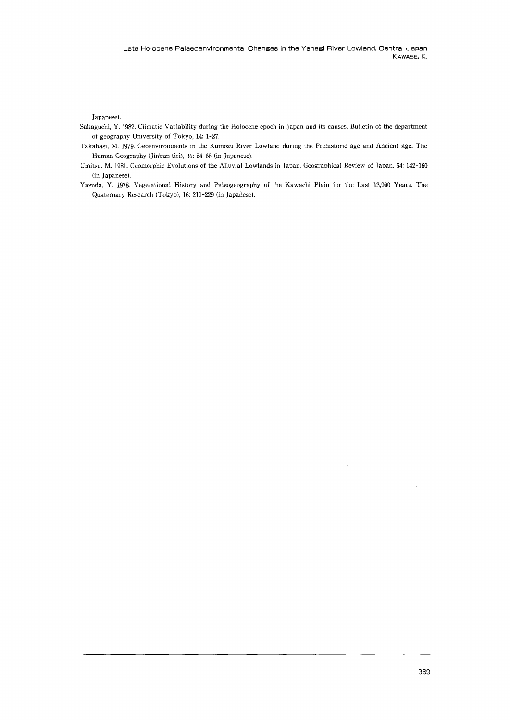Japanese).

- Sakaguchi, Y.1982. Climatic Variability during the Holocene epoch in Japan and its causes. Bulletin of the department of geography University of Tokyo,14:1-27.
- Takahasi, M.1979. Geoenvironments in the Kumozu River LowIand during the Prehistoric age and Ancient age. The Human Geography (Jinbun-tiri), 31: 54-68 (in Japanese).
- Umitsu, M. 1981. Geomorphic Evolutions of the Alluvial Lowlands in Japan. Geographical Review of Japan, 54: 142-160 (in Japanese).
- Yasuda, Y.1978. Vegetational Histoτy and Paleogeography of the Kawachi Plain for the Last 13,000 Years. The Quaternary Research (Tokyo), 16: 211-229 (in Japanese).